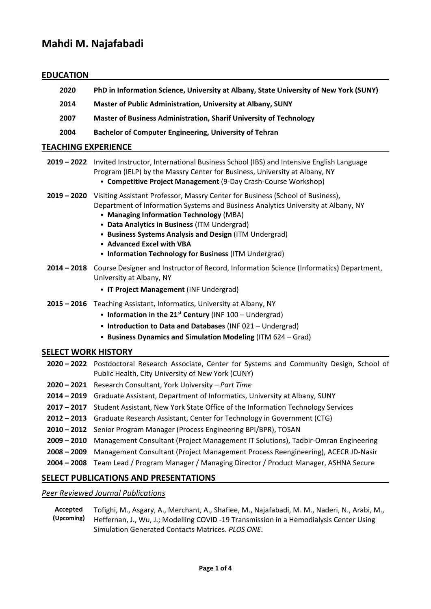# **Mahdi M. [Najafabadi](https://www.albany.edu/faculty/mahdi)**

#### **EDUCATION**

 **2020 PhD in Information Science, University at Albany, State University of New York (SUNY)**

 **2014 Master of Public Administration, University at Albany, SUNY**

 **2007 Master of Business Administration, [Sharif University](http://www.sharif.edu/en) of Technology**

 **2004 Bachelor of Computer Engineering, [University of Tehran](http://ut.ac.ir/en)**

### **TEACHING EXPERIENCE**

- **2019 – 2022** Invited Instructor, International Business School (IBS) and Intensive English Language Program (IELP) by the Massry Center for Business, University at Albany, NY
	- **Competitive Project Management** (9-Day Crash-Course Workshop)
- **2019 – 2020** Visiting Assistant Professor, Massry Center for Business (School of Business), Department of Information Systems and Business Analytics University at Albany, NY
	- **Managing Information Technology** (MBA)
	- **Data Analytics in Business** (ITM Undergrad)
	- **Business Systems Analysis and Design** (ITM Undergrad)
	- **Advanced Excel with VBA**
	- **Information Technology for Business** (ITM Undergrad)
- **2014 – 2018** Course Designer and Instructor of Record, Information Science (Informatics) Department, University at Albany, NY
	- **IT Project Management** (INF Undergrad)
- **2015 – 2016** Teaching Assistant, Informatics, University at Albany, NY
	- **Information in the 21<sup>st</sup> Century** (INF 100 Undergrad)
		- **Introduction to Data and Databases** (INF 021 Undergrad)
		- **Business Dynamics and Simulation Modeling** (ITM 624 Grad)

## **SELECT WORK HISTORY**

| 2020 - 2022 Postdoctoral Research Associate, Center for Systems and Community Design, School of |
|-------------------------------------------------------------------------------------------------|
| Public Health, City University of New York (CUNY)                                               |

- **2020 – 2021** Research Consultant, York University *Part Time*
- **2014 – 2019** Graduate Assistant, Department of Informatics, University at Albany, SUNY
- **2017 – 2017** Student Assistant, New York State Office of the Information Technology Services
- **2012 – 2013** Graduate Research Assistant, Center for Technology in Government (CTG)
- **2010 – 2012** Senior Program Manager (Process Engineering BPI/BPR), TOSAN
- **2009 – 2010** Management Consultant (Project Management IT Solutions), Tadbir-Omran Engineering
- **2008 – 2009** Management Consultant (Project Management Process Reengineering), ACECR JD-Nasir
- **2004 – 2008** Team Lead / Program Manager / Managing Director / Product Manager, ASHNA Secure

## **SELECT PUBLICATIONS AND PRESENTATIONS**

*Peer Reviewed Journal Publications*

Tofighi, M., Asgary, A., Merchant, A., Shafiee, M., Najafabadi, M. M., Naderi, N., Arabi, M., Heffernan, J., Wu, J.; Modelling COVID -19 Transmission in a Hemodialysis Center Using Simulation Generated Contacts Matrices. *PLOS ONE*. **Accepted (Upcoming)**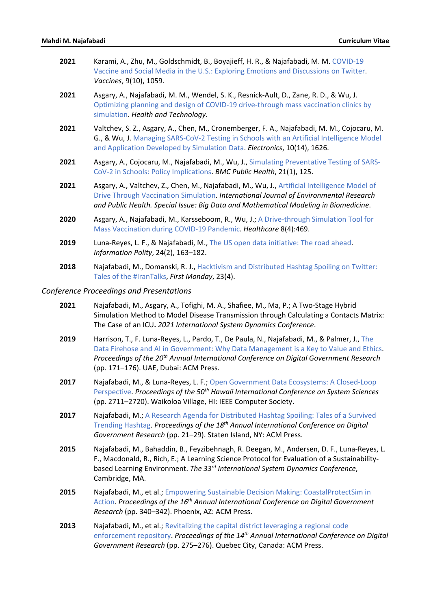| 2021 | Karami, A., Zhu, M., Goldschmidt, B., Boyajieff, H. R., & Najafabadi, M. M. COVID-19<br>Vaccine and Social Media in the U.S.: Exploring Emotions and Discussions on Twitter.<br>Vaccines, 9(10), 1059.                                                                        |
|------|-------------------------------------------------------------------------------------------------------------------------------------------------------------------------------------------------------------------------------------------------------------------------------|
| 2021 | Asgary, A., Najafabadi, M. M., Wendel, S. K., Resnick-Ault, D., Zane, R. D., & Wu, J.<br>Optimizing planning and design of COVID-19 drive-through mass vaccination clinics by<br>simulation. Health and Technology.                                                           |
| 2021 | Valtchev, S. Z., Asgary, A., Chen, M., Cronemberger, F. A., Najafabadi, M. M., Cojocaru, M.<br>G., & Wu, J. Managing SARS-CoV-2 Testing in Schools with an Artificial Intelligence Model<br>and Application Developed by Simulation Data. Electronics, 10(14), 1626.          |
| 2021 | Asgary, A., Cojocaru, M., Najafabadi, M., Wu, J., Simulating Preventative Testing of SARS-<br>CoV-2 in Schools: Policy Implications. BMC Public Health, 21(1), 125.                                                                                                           |
| 2021 | Asgary, A., Valtchev, Z., Chen, M., Najafabadi, M., Wu, J., Artificial Intelligence Model of<br>Drive Through Vaccination Simulation. International Journal of Environmental Research<br>and Public Health. Special Issue: Big Data and Mathematical Modeling in Biomedicine. |
| 2020 | Asgary, A., Najafabadi, M., Karsseboom, R., Wu, J.; A Drive-through Simulation Tool for<br>Mass Vaccination during COVID-19 Pandemic. Healthcare 8(4):469.                                                                                                                    |
| 2019 | Luna-Reyes, L. F., & Najafabadi, M., The US open data initiative: The road ahead.<br>Information Polity, 24(2), 163-182.                                                                                                                                                      |
| 2018 | Najafabadi, M., Domanski, R. J., Hacktivism and Distributed Hashtag Spoiling on Twitter:<br>Tales of the #IranTalks, First Monday, 23(4).                                                                                                                                     |

#### *Conference Proceedings and Presentations*

- **2021** Najafabadi, M., Asgary, A., Tofighi, M. A., Shafiee, M., Ma, P.; A Two-Stage Hybrid Simulation Method to Model Disease Transmission through Calculating a Contacts Matrix: The Case of an ICU**.** *2021 International System Dynamics Conference*.
- **2019** Harrison, T., F. Luna-Reyes, L., Pardo, T., De Paula, N., Najafabadi, M., & Palmer, J., [The](https://doi.org/10.1145/3325112.3325245)  [Data Firehose and AI in Government: Why Data Management is a Key to Value and Ethics.](https://doi.org/10.1145/3325112.3325245) *Proceedings of the 20th Annual International Conference on Digital Government Research* (pp. 171–176). UAE, Dubai: ACM Press.
- **2017** Najafabadi, M., & Luna-Reyes, L. F.; [Open Government Data Ecosystems: A Closed-Loop](http://doi.org/10125/41483)  [Perspective.](http://doi.org/10125/41483) *Proceedings of the 50th Hawaii International Conference on System Sciences* (pp. 2711–2720). Waikoloa Village, HI: IEEE Computer Society.
- **2017** Najafabadi, M.[; A Research Agenda for Distributed Hashtag Spoiling: Tales of a Survived](https://doi.org/10.1145/3085228.3085273)  [Trending Hashtag.](https://doi.org/10.1145/3085228.3085273) *Proceedings of the 18th Annual International Conference on Digital Government Research* (pp. 21–29). Staten Island, NY: ACM Press.
- **2015** Najafabadi, M., Bahaddin, B., Feyzibehnagh, R. Deegan, M., Andersen, D. F., Luna-Reyes, L. F., Macdonald, R., Rich, E.; A Learning Science Protocol for Evaluation of a Sustainabilitybased Learning Environment. *The 33rd International System Dynamics Conference*, Cambridge, MA.
- **2015** Najafabadi, M., et al.; Empowering Sustainable Decision Making: CoastalProtectSim in [Action.](http://doi.org/10.1145/2757401.2762717) *Proceedings of the 16th Annual International Conference on Digital Government Research* (pp. 340–342). Phoenix, AZ: ACM Press.
- **2013** Najafabadi, M., et al.; [Revitalizing the capital district leveraging a regional code](http://doi.org/10.1145/2479724.2479770)  [enforcement repository.](http://doi.org/10.1145/2479724.2479770) *Proceedings of the 14th Annual International Conference on Digital Government Research* (pp. 275–276). Quebec City, Canada: ACM Press.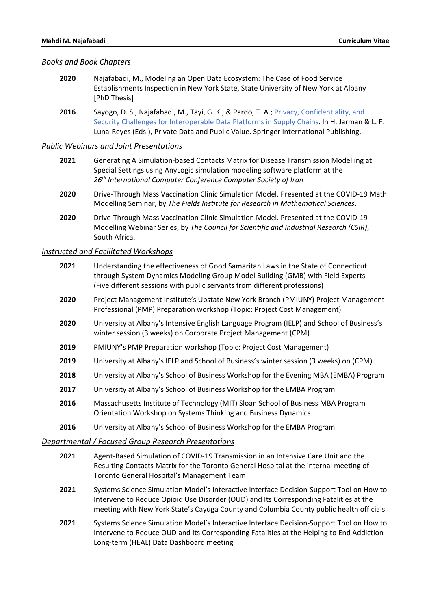#### *Books and Book Chapters*

- **2020** Najafabadi, M., Modeling an Open Data Ecosystem: The Case of Food Service Establishments Inspection in New York State, State University of New York at Albany [PhD Thesis]
- **2016** Sayogo, D. S., Najafabadi, M., Tayi, G. K., & Pardo, T. A.; [Privacy, Confidentiality, and](http://link.springer.com/10.1007/978-3-319-27823-0_6)  [Security Challenges for Interoperable Data Platforms in Supply Chains.](http://link.springer.com/10.1007/978-3-319-27823-0_6) In H. Jarman & L. F. Luna-Reyes (Eds.), Private Data and Public Value. Springer International Publishing.

#### *Public Webinars and Joint Presentations*

- **2021** Generating A Simulation-based Contacts Matrix for Disease Transmission Modelling at Special Settings using AnyLogic simulation modeling software platform at the *26th International Computer Conference Computer Society of Iran*
- **2020** Drive-Through Mass Vaccination Clinic Simulation Model. Presented at the COVID-19 Math Modelling Seminar, by *The Fields Institute for Research in Mathematical Sciences*.
- **2020** Drive-Through Mass Vaccination Clinic Simulation Model. Presented at the COVID-19 Modelling Webinar Series, by *The Council for Scientific and Industrial Research (CSIR)*, South Africa.

#### *Instructed and Facilitated Workshops*

- **2021** Understanding the effectiveness of Good Samaritan Laws in the State of Connecticut through System Dynamics Modeling Group Model Building (GMB) with Field Experts (Five different sessions with public servants from different professions)
- **2020** Project Management Institute's Upstate New York Branch (PMIUNY) Project Management Professional (PMP) Preparation workshop (Topic: Project Cost Management)
- **2020** University at Albany's Intensive English Language Program (IELP) and School of Business's winter session (3 weeks) on Corporate Project Management (CPM)
- **2019** PMIUNY's PMP Preparation workshop (Topic: Project Cost Management)
- **2019** University at Albany's IELP and School of Business's winter session (3 weeks) on (CPM)
- **2018** University at Albany's School of Business Workshop for the Evening MBA (EMBA) Program
- **2017** University at Albany's School of Business Workshop for the EMBA Program
- **2016** Massachusetts Institute of Technology (MIT) Sloan School of Business MBA Program Orientation Workshop on Systems Thinking and Business Dynamics
- **2016** University at Albany's School of Business Workshop for the EMBA Program

#### *Departmental / Focused Group Research Presentations*

- **2021** Agent-Based Simulation of COVID-19 Transmission in an Intensive Care Unit and the Resulting Contacts Matrix for the Toronto General Hospital at the internal meeting of Toronto General Hospital's Management Team
- **2021** Systems Science Simulation Model's Interactive Interface Decision-Support Tool on How to Intervene to Reduce Opioid Use Disorder (OUD) and Its Corresponding Fatalities at the meeting with New York State's Cayuga County and Columbia County public health officials
- **2021** Systems Science Simulation Model's Interactive Interface Decision-Support Tool on How to Intervene to Reduce OUD and Its Corresponding Fatalities at the Helping to End Addiction Long-term (HEAL) Data Dashboard meeting